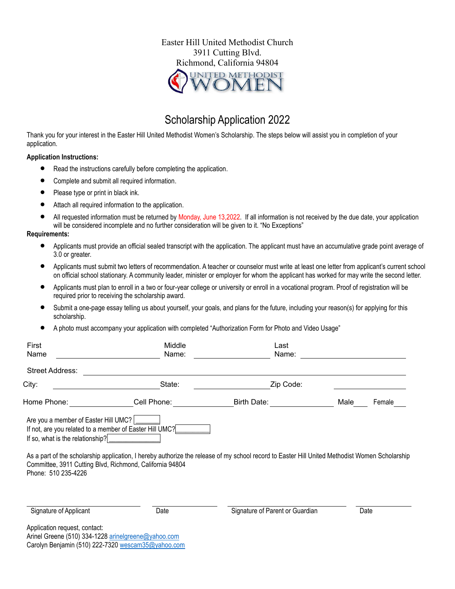

# Scholarship Application 2022

Thank you for your interest in the Easter Hill United Methodist Women's Scholarship. The steps below will assist you in completion of your application.

#### **Application Instructions:**

- Read the instructions carefully before completing the application.
- Complete and submit all required information.
- Please type or print in black ink.
- Attach all required information to the application.
- All requested information must be returned by Monday, June 13,2022. If all information is not received by the due date, your application will be considered incomplete and no further consideration will be given to it. "No Exceptions"

#### **Requirements:**

- Applicants must provide an official sealed transcript with the application. The applicant must have an accumulative grade point average of 3.0 or greater.
- Applicants must submit two letters of recommendation. A teacher or counselor must write at least one letter from applicant's current school on official school stationary. A community leader, minister or employer for whom the applicant has worked for may write the second letter.
- Applicants must plan to enroll in a two or four-year college or university or enroll in a vocational program. Proof of registration will be required prior to receiving the scholarship award.
- Submit a one-page essay telling us about yourself, your goals, and plans for the future, including your reason(s) for applying for this scholarship.
- A photo must accompany your application with completed "Authorization Form for Photo and Video Usage"

| First<br>Name                                                                                   | Middle<br>Name:                                                                                                     | Last<br>Name:                                                                                                                                  |      |        |
|-------------------------------------------------------------------------------------------------|---------------------------------------------------------------------------------------------------------------------|------------------------------------------------------------------------------------------------------------------------------------------------|------|--------|
|                                                                                                 |                                                                                                                     |                                                                                                                                                |      |        |
| <b>Street Address:</b>                                                                          |                                                                                                                     |                                                                                                                                                |      |        |
| City:                                                                                           | State:                                                                                                              | Zip Code:                                                                                                                                      |      |        |
| Home Phone:                                                                                     | Cell Phone:                                                                                                         | <b>Birth Date:</b>                                                                                                                             | Male | Female |
| Are you a member of Easter Hill UMC?<br>If so, what is the relationship?<br>Phone: 510 235-4226 | If not, are you related to a member of Easter Hill UMC?<br>Committee, 3911 Cutting Blvd, Richmond, California 94804 | As a part of the scholarship application, I hereby authorize the release of my school record to Easter Hill United Methodist Women Scholarship |      |        |
| Signature of Applicant<br>Application request, contact:                                         | Date                                                                                                                | Signature of Parent or Guardian                                                                                                                |      | Date   |

Arinel Greene (510) 334-1228 [arinelgreene@yahoo.com](mailto:arinelgreene@yahoo.com) Carolyn Benjamin (510) 222-732[0 wescam35@yahoo.com](mailto:wescam35@yahoo.com)